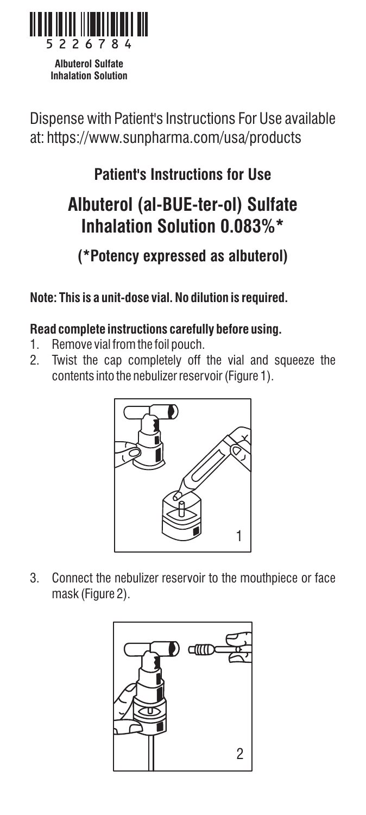

**Albuterol Sulfate Inhalation Solution** 

Dispense with Patient's Instructions For Use available at: https://www.sunpharma.com/usa/products

## **Patient's Instructions for Use**

# **Albuterol (al-BUE-ter-ol) Sulfate Inhalation Solution 0.083%\***

### **(\*Potency expressed as albuterol)**

#### **Note: This is a unit-dose vial. No dilution is required.**

#### **Read complete instructions carefully before using.**

- 1. Remove vial from the foil pouch.
- 2. Twist the cap completely off the vial and squeeze the contents into the nebulizer reservoir (Figure 1).



3. Connect the nebulizer reservoir to the mouthpiece or face mask (Figure 2).